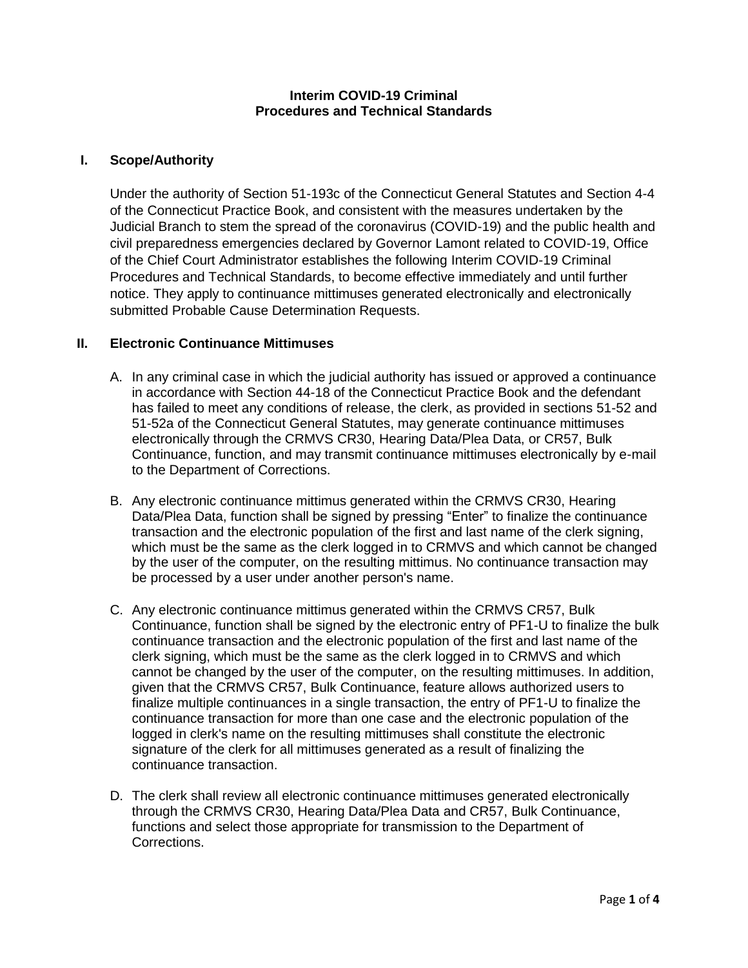#### **Interim COVID-19 Criminal Procedures and Technical Standards**

## **I. Scope/Authority**

Under the authority of Section 51-193c of the Connecticut General Statutes and Section 4-4 of the Connecticut Practice Book, and consistent with the measures undertaken by the Judicial Branch to stem the spread of the coronavirus (COVID-19) and the public health and civil preparedness emergencies declared by Governor Lamont related to COVID-19, Office of the Chief Court Administrator establishes the following Interim COVID-19 Criminal Procedures and Technical Standards, to become effective immediately and until further notice. They apply to continuance mittimuses generated electronically and electronically submitted Probable Cause Determination Requests.

#### **II. Electronic Continuance Mittimuses**

- A. In any criminal case in which the judicial authority has issued or approved a continuance in accordance with Section 44-18 of the Connecticut Practice Book and the defendant has failed to meet any conditions of release, the clerk, as provided in sections 51-52 and 51-52a of the Connecticut General Statutes, may generate continuance mittimuses electronically through the CRMVS CR30, Hearing Data/Plea Data, or CR57, Bulk Continuance, function, and may transmit continuance mittimuses electronically by e-mail to the Department of Corrections.
- B. Any electronic continuance mittimus generated within the CRMVS CR30, Hearing Data/Plea Data, function shall be signed by pressing "Enter" to finalize the continuance transaction and the electronic population of the first and last name of the clerk signing, which must be the same as the clerk logged in to CRMVS and which cannot be changed by the user of the computer, on the resulting mittimus. No continuance transaction may be processed by a user under another person's name.
- C. Any electronic continuance mittimus generated within the CRMVS CR57, Bulk Continuance, function shall be signed by the electronic entry of PF1-U to finalize the bulk continuance transaction and the electronic population of the first and last name of the clerk signing, which must be the same as the clerk logged in to CRMVS and which cannot be changed by the user of the computer, on the resulting mittimuses. In addition, given that the CRMVS CR57, Bulk Continuance, feature allows authorized users to finalize multiple continuances in a single transaction, the entry of PF1-U to finalize the continuance transaction for more than one case and the electronic population of the logged in clerk's name on the resulting mittimuses shall constitute the electronic signature of the clerk for all mittimuses generated as a result of finalizing the continuance transaction.
- D. The clerk shall review all electronic continuance mittimuses generated electronically through the CRMVS CR30, Hearing Data/Plea Data and CR57, Bulk Continuance, functions and select those appropriate for transmission to the Department of Corrections.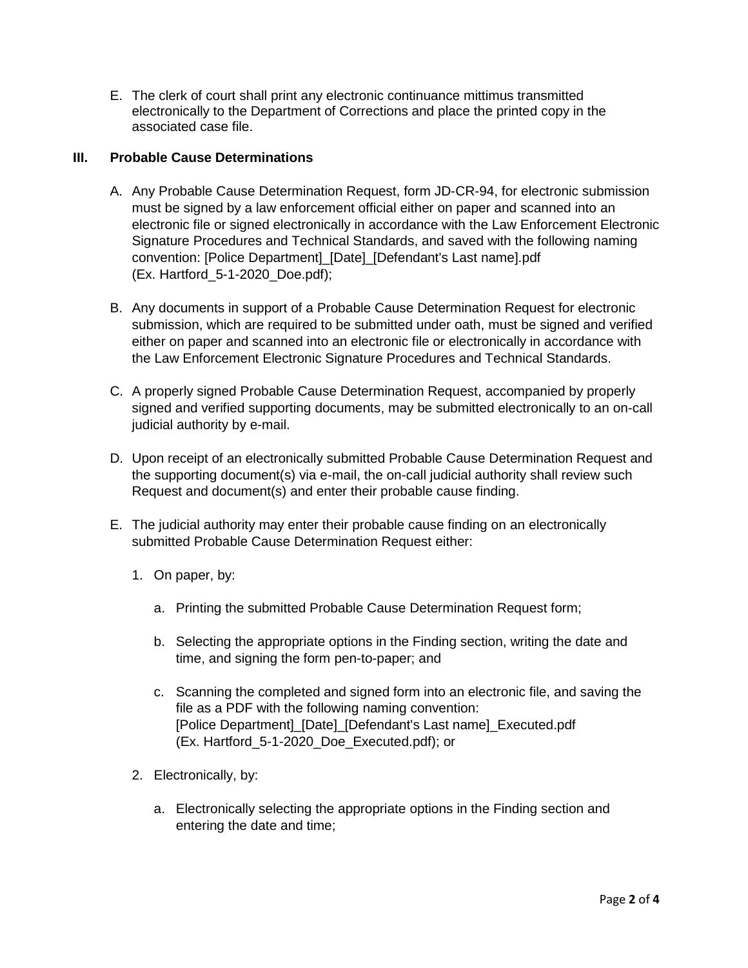E. The clerk of court shall print any electronic continuance mittimus transmitted electronically to the Department of Corrections and place the printed copy in the associated case file.

## **III. Probable Cause Determinations**

- A. Any Probable Cause Determination Request, form JD-CR-94, for electronic submission must be signed by a law enforcement official either on paper and scanned into an electronic file or signed electronically in accordance with the Law Enforcement Electronic Signature Procedures and Technical Standards, and saved with the following naming convention: [Police Department] [Date] [Defendant's Last name].pdf (Ex. Hartford\_5-1-2020\_Doe.pdf);
- B. Any documents in support of a Probable Cause Determination Request for electronic submission, which are required to be submitted under oath, must be signed and verified either on paper and scanned into an electronic file or electronically in accordance with the Law Enforcement Electronic Signature Procedures and Technical Standards.
- C. A properly signed Probable Cause Determination Request, accompanied by properly signed and verified supporting documents, may be submitted electronically to an on-call judicial authority by e-mail.
- D. Upon receipt of an electronically submitted Probable Cause Determination Request and the supporting document(s) via e-mail, the on-call judicial authority shall review such Request and document(s) and enter their probable cause finding.
- E. The judicial authority may enter their probable cause finding on an electronically submitted Probable Cause Determination Request either:
	- 1. On paper, by:
		- a. Printing the submitted Probable Cause Determination Request form;
		- b. Selecting the appropriate options in the Finding section, writing the date and time, and signing the form pen-to-paper; and
		- c. Scanning the completed and signed form into an electronic file, and saving the file as a PDF with the following naming convention: [Police Department]\_[Date]\_[Defendant's Last name]\_Executed.pdf (Ex. Hartford\_5-1-2020\_Doe\_Executed.pdf); or
	- 2. Electronically, by:
		- a. Electronically selecting the appropriate options in the Finding section and entering the date and time;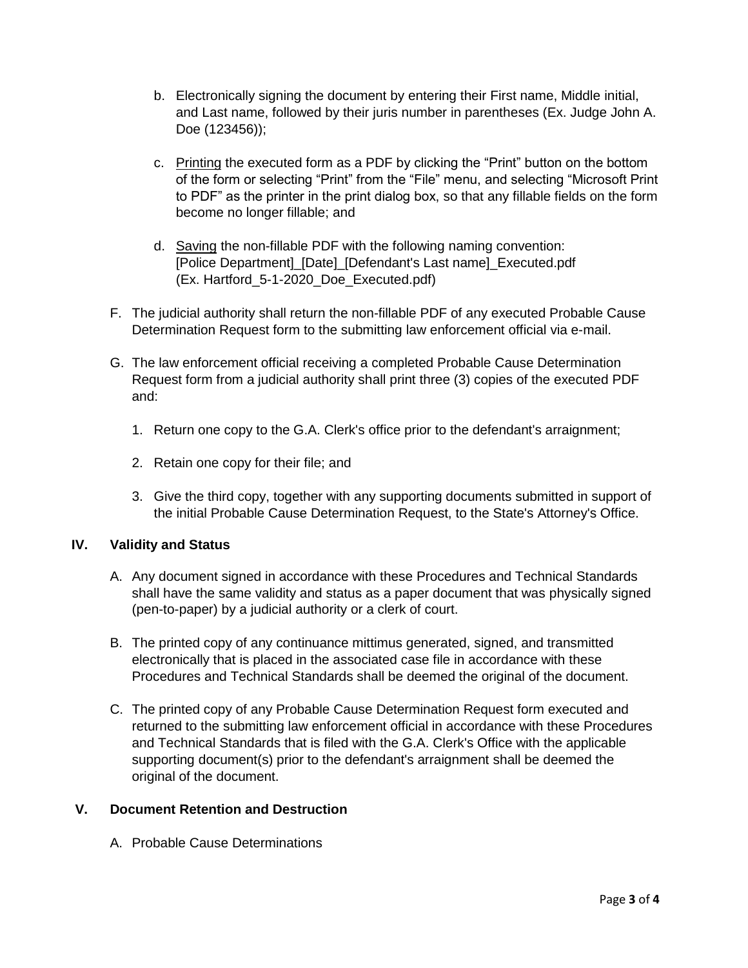- b. Electronically signing the document by entering their First name, Middle initial, and Last name, followed by their juris number in parentheses (Ex. Judge John A. Doe (123456));
- c. Printing the executed form as a PDF by clicking the "Print" button on the bottom of the form or selecting "Print" from the "File" menu, and selecting "Microsoft Print to PDF" as the printer in the print dialog box, so that any fillable fields on the form become no longer fillable; and
- d. Saving the non-fillable PDF with the following naming convention: [Police Department] [Date] [Defendant's Last name] Executed.pdf (Ex. Hartford\_5-1-2020\_Doe\_Executed.pdf)
- F. The judicial authority shall return the non-fillable PDF of any executed Probable Cause Determination Request form to the submitting law enforcement official via e-mail.
- G. The law enforcement official receiving a completed Probable Cause Determination Request form from a judicial authority shall print three (3) copies of the executed PDF and:
	- 1. Return one copy to the G.A. Clerk's office prior to the defendant's arraignment;
	- 2. Retain one copy for their file; and
	- 3. Give the third copy, together with any supporting documents submitted in support of the initial Probable Cause Determination Request, to the State's Attorney's Office.

## **IV. Validity and Status**

- A. Any document signed in accordance with these Procedures and Technical Standards shall have the same validity and status as a paper document that was physically signed (pen-to-paper) by a judicial authority or a clerk of court.
- B. The printed copy of any continuance mittimus generated, signed, and transmitted electronically that is placed in the associated case file in accordance with these Procedures and Technical Standards shall be deemed the original of the document.
- C. The printed copy of any Probable Cause Determination Request form executed and returned to the submitting law enforcement official in accordance with these Procedures and Technical Standards that is filed with the G.A. Clerk's Office with the applicable supporting document(s) prior to the defendant's arraignment shall be deemed the original of the document.

# **V. Document Retention and Destruction**

A. Probable Cause Determinations